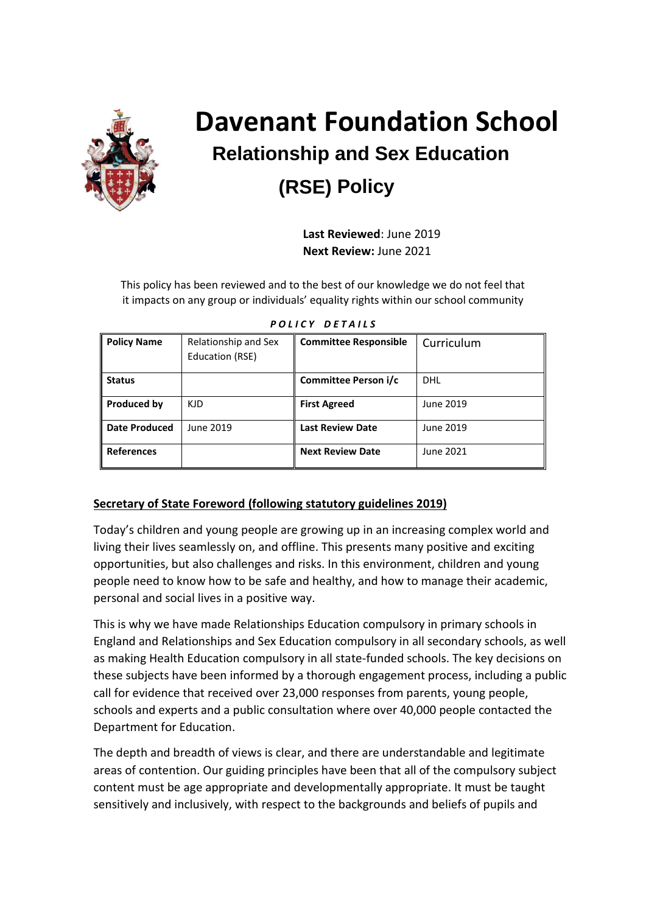

# **Davenant Foundation School Relationship and Sex Education (RSE) Policy**

 **Last Reviewed**: June 2019  **Next Review:** June 2021

This policy has been reviewed and to the best of our knowledge we do not feel that it impacts on any group or individuals' equality rights within our school community

| <b>Policy Name</b>   | Relationship and Sex<br>Education (RSE) | <b>Committee Responsible</b> | Curriculum |
|----------------------|-----------------------------------------|------------------------------|------------|
| <b>Status</b>        |                                         | Committee Person i/c         | <b>DHL</b> |
| Produced by          | KJD.                                    | <b>First Agreed</b>          | June 2019  |
| <b>Date Produced</b> | June 2019                               | <b>Last Review Date</b>      | June 2019  |
| <b>References</b>    |                                         | <b>Next Review Date</b>      | June 2021  |

*P O L I C Y D E T A I L S*

#### **Secretary of State Foreword (following statutory guidelines 2019)**

Today's children and young people are growing up in an increasing complex world and living their lives seamlessly on, and offline. This presents many positive and exciting opportunities, but also challenges and risks. In this environment, children and young people need to know how to be safe and healthy, and how to manage their academic, personal and social lives in a positive way.

This is why we have made Relationships Education compulsory in primary schools in England and Relationships and Sex Education compulsory in all secondary schools, as well as making Health Education compulsory in all state-funded schools. The key decisions on these subjects have been informed by a thorough engagement process, including a public call for evidence that received over 23,000 responses from parents, young people, schools and experts and a public consultation where over 40,000 people contacted the Department for Education.

The depth and breadth of views is clear, and there are understandable and legitimate areas of contention. Our guiding principles have been that all of the compulsory subject content must be age appropriate and developmentally appropriate. It must be taught sensitively and inclusively, with respect to the backgrounds and beliefs of pupils and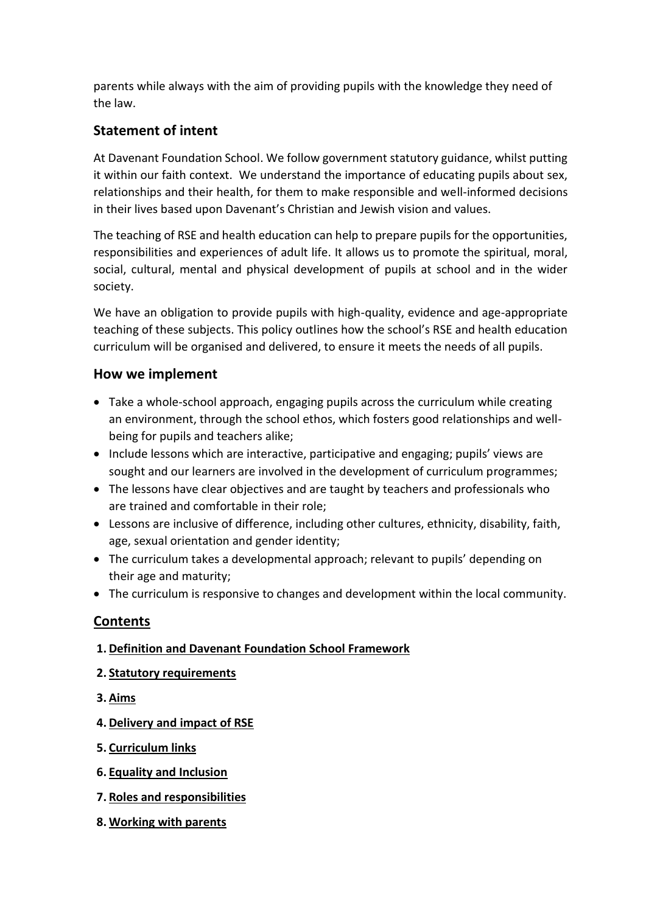parents while always with the aim of providing pupils with the knowledge they need of the law.

## **Statement of intent**

At Davenant Foundation School. We follow government statutory guidance, whilst putting it within our faith context. We understand the importance of educating pupils about sex, relationships and their health, for them to make responsible and well-informed decisions in their lives based upon Davenant's Christian and Jewish vision and values.

The teaching of RSE and health education can help to prepare pupils for the opportunities, responsibilities and experiences of adult life. It allows us to promote the spiritual, moral, social, cultural, mental and physical development of pupils at school and in the wider society.

We have an obligation to provide pupils with high-quality, evidence and age-appropriate teaching of these subjects. This policy outlines how the school's RSE and health education curriculum will be organised and delivered, to ensure it meets the needs of all pupils.

## **How we implement**

- Take a whole-school approach, engaging pupils across the curriculum while creating an environment, through the school ethos, which fosters good relationships and wellbeing for pupils and teachers alike;
- Include lessons which are interactive, participative and engaging; pupils' views are sought and our learners are involved in the development of curriculum programmes;
- The lessons have clear objectives and are taught by teachers and professionals who are trained and comfortable in their role;
- Lessons are inclusive of difference, including other cultures, ethnicity, disability, faith, age, sexual orientation and gender identity;
- The curriculum takes a developmental approach; relevant to pupils' depending on their age and maturity;
- The curriculum is responsive to changes and development within the local community.

## **Contents**

### **1. Definition and Davenant Foundation School Framework**

#### **2. Statutory requirements**

- **3. Aims**
- **4. Delivery and impact of RSE**
- **5. Curriculum links**
- **6. Equality and Inclusion**
- **7. Roles and responsibilities**
- **8. Working with parents**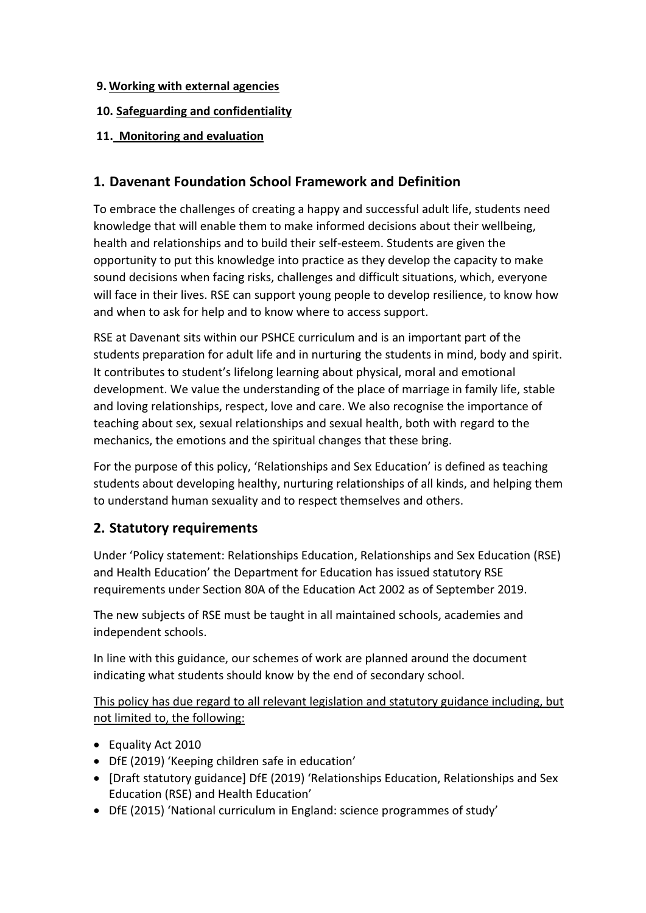#### **9. Working with external agencies**

### **10. Safeguarding and confidentiality**

## **11. Monitoring and evaluation**

## **1. Davenant Foundation School Framework and Definition**

To embrace the challenges of creating a happy and successful adult life, students need knowledge that will enable them to make informed decisions about their wellbeing, health and relationships and to build their self-esteem. Students are given the opportunity to put this knowledge into practice as they develop the capacity to make sound decisions when facing risks, challenges and difficult situations, which, everyone will face in their lives. RSE can support young people to develop resilience, to know how and when to ask for help and to know where to access support.

RSE at Davenant sits within our PSHCE curriculum and is an important part of the students preparation for adult life and in nurturing the students in mind, body and spirit. It contributes to student's lifelong learning about physical, moral and emotional development. We value the understanding of the place of marriage in family life, stable and loving relationships, respect, love and care. We also recognise the importance of teaching about sex, sexual relationships and sexual health, both with regard to the mechanics, the emotions and the spiritual changes that these bring.

For the purpose of this policy, 'Relationships and Sex Education' is defined as teaching students about developing healthy, nurturing relationships of all kinds, and helping them to understand human sexuality and to respect themselves and others.

## **2. Statutory requirements**

Under 'Policy statement: Relationships Education, Relationships and Sex Education (RSE) and Health Education' the Department for Education has issued statutory RSE requirements under Section 80A of the Education Act 2002 as of September 2019.

The new subjects of RSE must be taught in all maintained schools, academies and independent schools.

In line with this guidance, our schemes of work are planned around the document indicating what students should know by the end of secondary school.

This policy has due regard to all relevant legislation and statutory guidance including, but not limited to, the following:

- Equality Act 2010
- DfE (2019) 'Keeping children safe in education'
- [Draft statutory guidance] DfE (2019) 'Relationships Education, Relationships and Sex Education (RSE) and Health Education'
- DfE (2015) 'National curriculum in England: science programmes of study'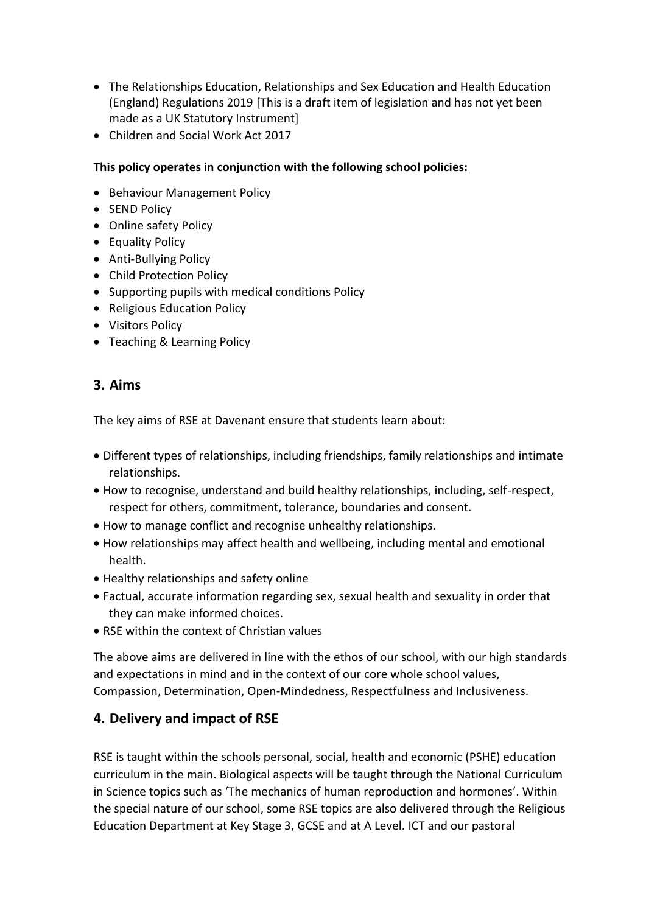- The Relationships Education, Relationships and Sex Education and Health Education (England) Regulations 2019 [This is a draft item of legislation and has not yet been made as a UK Statutory Instrument]
- Children and Social Work Act 2017

#### **This policy operates in conjunction with the following school policies:**

- Behaviour Management Policy
- SEND Policy
- Online safety Policy
- Equality Policy
- Anti-Bullying Policy
- Child Protection Policy
- Supporting pupils with medical conditions Policy
- Religious Education Policy
- Visitors Policy
- Teaching & Learning Policy

## **3. Aims**

The key aims of RSE at Davenant ensure that students learn about:

- Different types of relationships, including friendships, family relationships and intimate relationships.
- How to recognise, understand and build healthy relationships, including, self-respect, respect for others, commitment, tolerance, boundaries and consent.
- How to manage conflict and recognise unhealthy relationships.
- How relationships may affect health and wellbeing, including mental and emotional health.
- Healthy relationships and safety online
- Factual, accurate information regarding sex, sexual health and sexuality in order that they can make informed choices.
- RSE within the context of Christian values

The above aims are delivered in line with the ethos of our school, with our high standards and expectations in mind and in the context of our core whole school values, Compassion, Determination, Open-Mindedness, Respectfulness and Inclusiveness.

## **4. Delivery and impact of RSE**

RSE is taught within the schools personal, social, health and economic (PSHE) education curriculum in the main. Biological aspects will be taught through the National Curriculum in Science topics such as 'The mechanics of human reproduction and hormones'. Within the special nature of our school, some RSE topics are also delivered through the Religious Education Department at Key Stage 3, GCSE and at A Level. ICT and our pastoral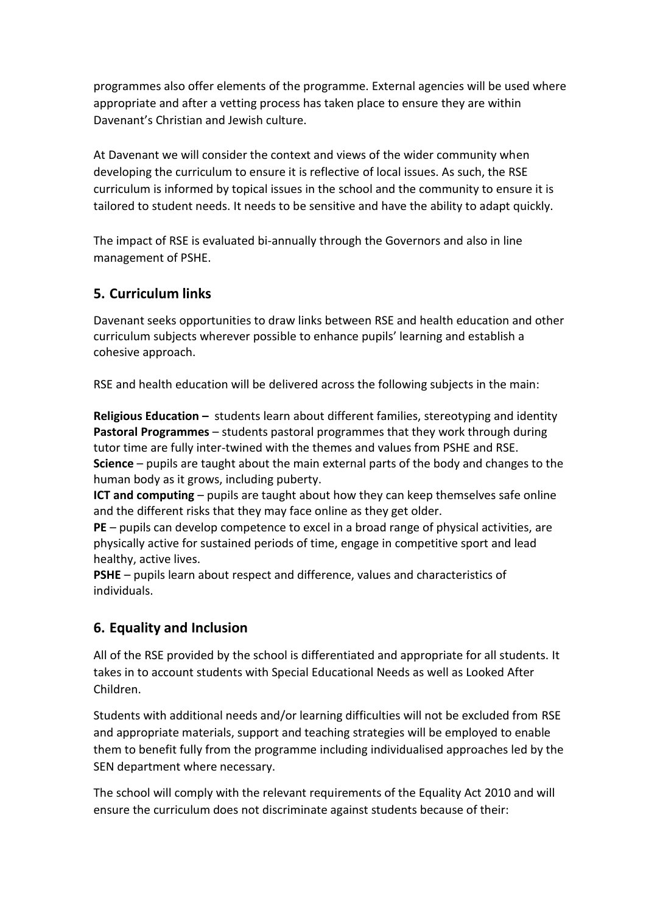programmes also offer elements of the programme. External agencies will be used where appropriate and after a vetting process has taken place to ensure they are within Davenant's Christian and Jewish culture.

At Davenant we will consider the context and views of the wider community when developing the curriculum to ensure it is reflective of local issues. As such, the RSE curriculum is informed by topical issues in the school and the community to ensure it is tailored to student needs. It needs to be sensitive and have the ability to adapt quickly.

The impact of RSE is evaluated bi-annually through the Governors and also in line management of PSHE.

## **5. Curriculum links**

Davenant seeks opportunities to draw links between RSE and health education and other curriculum subjects wherever possible to enhance pupils' learning and establish a cohesive approach.

RSE and health education will be delivered across the following subjects in the main:

**Religious Education –** students learn about different families, stereotyping and identity **Pastoral Programmes** – students pastoral programmes that they work through during tutor time are fully inter-twined with the themes and values from PSHE and RSE. **Science** – pupils are taught about the main external parts of the body and changes to the human body as it grows, including puberty.

**ICT and computing** – pupils are taught about how they can keep themselves safe online and the different risks that they may face online as they get older.

**PE** – pupils can develop competence to excel in a broad range of physical activities, are physically active for sustained periods of time, engage in competitive sport and lead healthy, active lives.

**PSHE** – pupils learn about respect and difference, values and characteristics of individuals.

## **6. Equality and Inclusion**

All of the RSE provided by the school is differentiated and appropriate for all students. It takes in to account students with Special Educational Needs as well as Looked After Children.

Students with additional needs and/or learning difficulties will not be excluded from RSE and appropriate materials, support and teaching strategies will be employed to enable them to benefit fully from the programme including individualised approaches led by the SEN department where necessary.

The school will comply with the relevant requirements of the Equality Act 2010 and will ensure the curriculum does not discriminate against students because of their: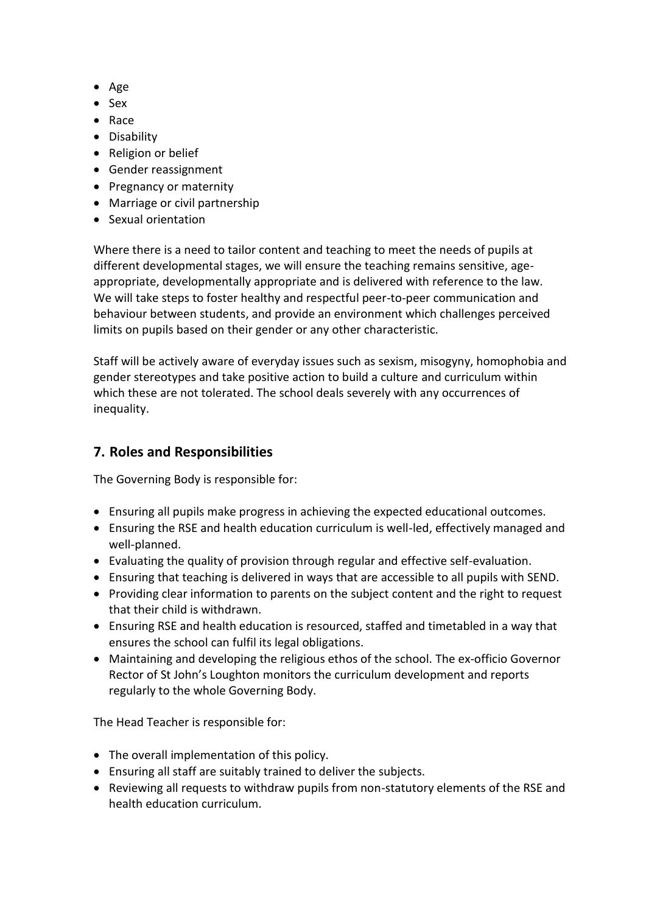- Age
- Sex
- Race
- Disability
- Religion or belief
- Gender reassignment
- Pregnancy or maternity
- Marriage or civil partnership
- Sexual orientation

Where there is a need to tailor content and teaching to meet the needs of pupils at different developmental stages, we will ensure the teaching remains sensitive, ageappropriate, developmentally appropriate and is delivered with reference to the law. We will take steps to foster healthy and respectful peer-to-peer communication and behaviour between students, and provide an environment which challenges perceived limits on pupils based on their gender or any other characteristic.

Staff will be actively aware of everyday issues such as sexism, misogyny, homophobia and gender stereotypes and take positive action to build a culture and curriculum within which these are not tolerated. The school deals severely with any occurrences of inequality.

## **7. Roles and Responsibilities**

The Governing Body is responsible for:

- Ensuring all pupils make progress in achieving the expected educational outcomes.
- Ensuring the RSE and health education curriculum is well-led, effectively managed and well-planned.
- Evaluating the quality of provision through regular and effective self-evaluation.
- Ensuring that teaching is delivered in ways that are accessible to all pupils with SEND.
- Providing clear information to parents on the subject content and the right to request that their child is withdrawn.
- Ensuring RSE and health education is resourced, staffed and timetabled in a way that ensures the school can fulfil its legal obligations.
- Maintaining and developing the religious ethos of the school. The ex-officio Governor Rector of St John's Loughton monitors the curriculum development and reports regularly to the whole Governing Body.

The Head Teacher is responsible for:

- The overall implementation of this policy.
- Ensuring all staff are suitably trained to deliver the subjects.
- Reviewing all requests to withdraw pupils from non-statutory elements of the RSE and health education curriculum.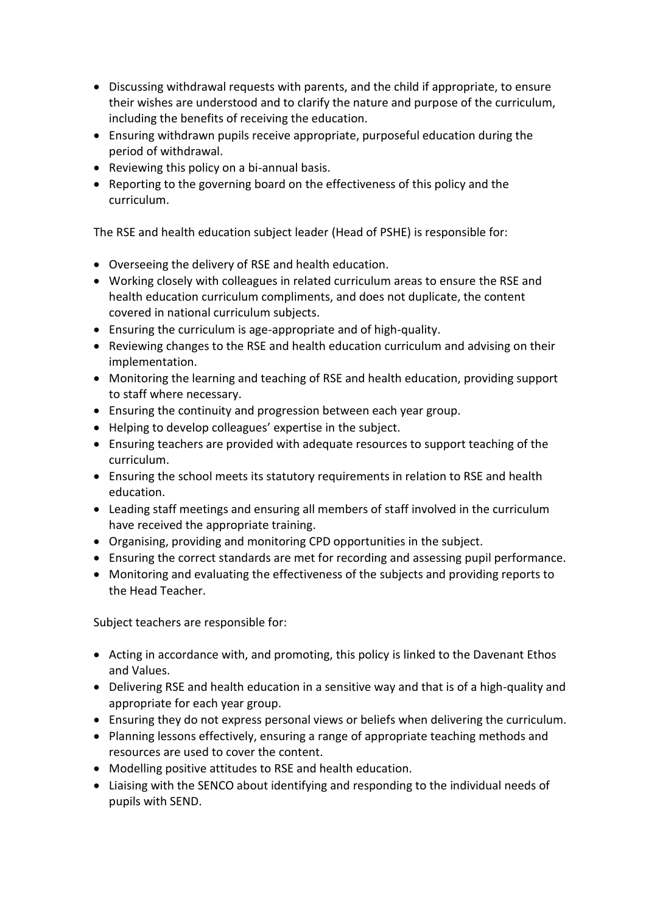- Discussing withdrawal requests with parents, and the child if appropriate, to ensure their wishes are understood and to clarify the nature and purpose of the curriculum, including the benefits of receiving the education.
- Ensuring withdrawn pupils receive appropriate, purposeful education during the period of withdrawal.
- Reviewing this policy on a bi-annual basis.
- Reporting to the governing board on the effectiveness of this policy and the curriculum.

The RSE and health education subject leader (Head of PSHE) is responsible for:

- Overseeing the delivery of RSE and health education.
- Working closely with colleagues in related curriculum areas to ensure the RSE and health education curriculum compliments, and does not duplicate, the content covered in national curriculum subjects.
- Ensuring the curriculum is age-appropriate and of high-quality.
- Reviewing changes to the RSE and health education curriculum and advising on their implementation.
- Monitoring the learning and teaching of RSE and health education, providing support to staff where necessary.
- Ensuring the continuity and progression between each year group.
- Helping to develop colleagues' expertise in the subject.
- Ensuring teachers are provided with adequate resources to support teaching of the curriculum.
- Ensuring the school meets its statutory requirements in relation to RSE and health education.
- Leading staff meetings and ensuring all members of staff involved in the curriculum have received the appropriate training.
- Organising, providing and monitoring CPD opportunities in the subject.
- Ensuring the correct standards are met for recording and assessing pupil performance.
- Monitoring and evaluating the effectiveness of the subjects and providing reports to the Head Teacher.

Subject teachers are responsible for:

- Acting in accordance with, and promoting, this policy is linked to the Davenant Ethos and Values.
- Delivering RSE and health education in a sensitive way and that is of a high-quality and appropriate for each year group.
- Ensuring they do not express personal views or beliefs when delivering the curriculum.
- Planning lessons effectively, ensuring a range of appropriate teaching methods and resources are used to cover the content.
- Modelling positive attitudes to RSE and health education.
- Liaising with the SENCO about identifying and responding to the individual needs of pupils with SEND.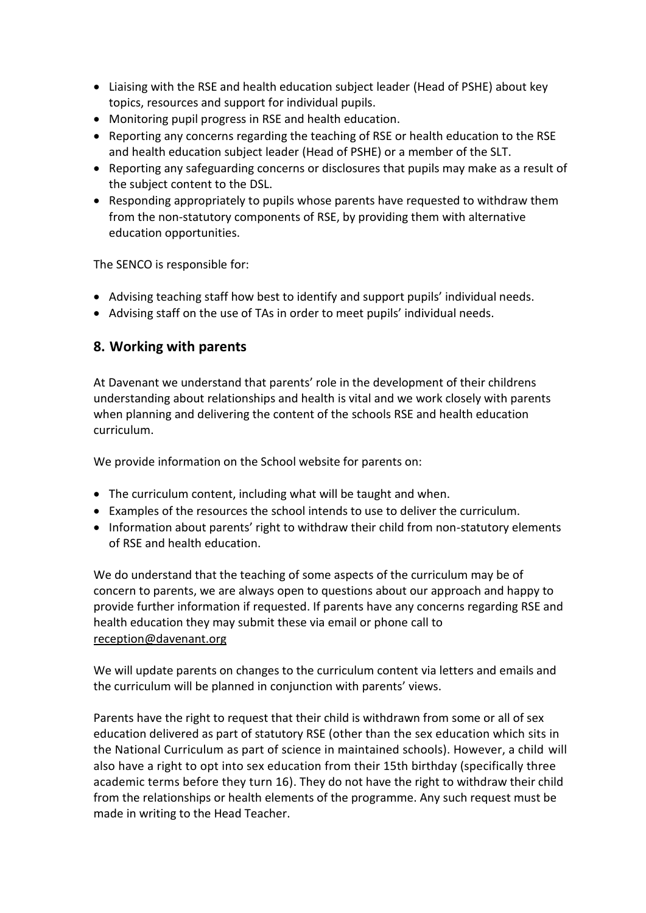- Liaising with the RSE and health education subject leader (Head of PSHE) about key topics, resources and support for individual pupils.
- Monitoring pupil progress in RSE and health education.
- Reporting any concerns regarding the teaching of RSE or health education to the RSE and health education subject leader (Head of PSHE) or a member of the SLT.
- Reporting any safeguarding concerns or disclosures that pupils may make as a result of the subject content to the DSL.
- Responding appropriately to pupils whose parents have requested to withdraw them from the non-statutory components of RSE, by providing them with alternative education opportunities.

The SENCO is responsible for:

- Advising teaching staff how best to identify and support pupils' individual needs.
- Advising staff on the use of TAs in order to meet pupils' individual needs.

#### **8. Working with parents**

At Davenant we understand that parents' role in the development of their childrens understanding about relationships and health is vital and we work closely with parents when planning and delivering the content of the schools RSE and health education curriculum.

We provide information on the School website for parents on:

- The curriculum content, including what will be taught and when.
- Examples of the resources the school intends to use to deliver the curriculum.
- Information about parents' right to withdraw their child from non-statutory elements of RSE and health education.

We do understand that the teaching of some aspects of the curriculum may be of concern to parents, we are always open to questions about our approach and happy to provide further information if requested. If parents have any concerns regarding RSE and health education they may submit these via email or phone call to [reception@davenant.org](mailto:reception@davenant.org)

We will update parents on changes to the curriculum content via letters and emails and the curriculum will be planned in conjunction with parents' views.

Parents have the right to request that their child is withdrawn from some or all of sex education delivered as part of statutory RSE (other than the sex education which sits in the National Curriculum as part of science in maintained schools). However, a child will also have a right to opt into sex education from their 15th birthday (specifically three academic terms before they turn 16). They do not have the right to withdraw their child from the relationships or health elements of the programme. Any such request must be made in writing to the Head Teacher.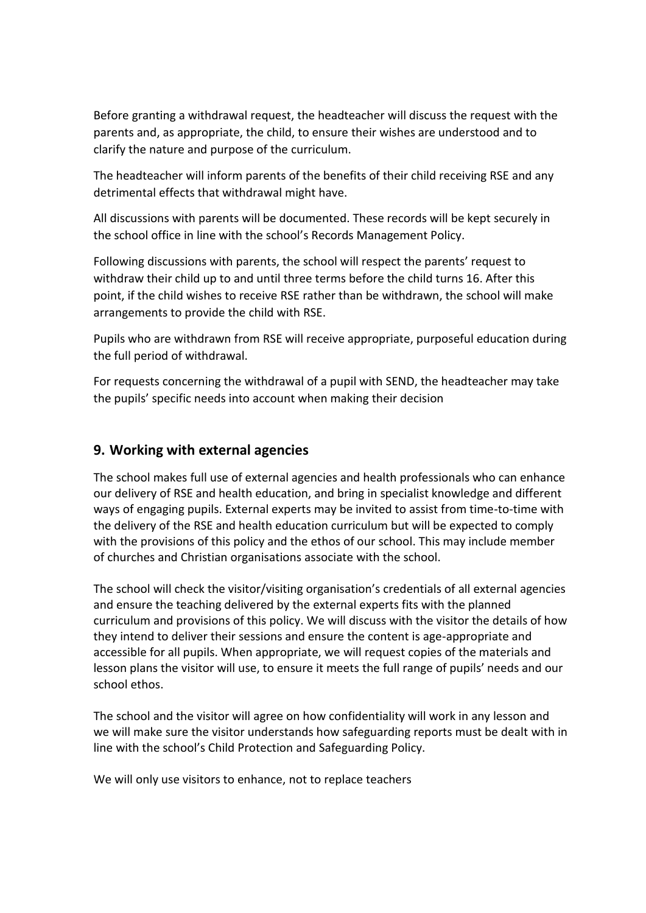Before granting a withdrawal request, the headteacher will discuss the request with the parents and, as appropriate, the child, to ensure their wishes are understood and to clarify the nature and purpose of the curriculum.

The headteacher will inform parents of the benefits of their child receiving RSE and any detrimental effects that withdrawal might have.

All discussions with parents will be documented. These records will be kept securely in the school office in line with the school's Records Management Policy.

Following discussions with parents, the school will respect the parents' request to withdraw their child up to and until three terms before the child turns 16. After this point, if the child wishes to receive RSE rather than be withdrawn, the school will make arrangements to provide the child with RSE.

Pupils who are withdrawn from RSE will receive appropriate, purposeful education during the full period of withdrawal.

For requests concerning the withdrawal of a pupil with SEND, the headteacher may take the pupils' specific needs into account when making their decision

### **9. Working with external agencies**

The school makes full use of external agencies and health professionals who can enhance our delivery of RSE and health education, and bring in specialist knowledge and different ways of engaging pupils. External experts may be invited to assist from time-to-time with the delivery of the RSE and health education curriculum but will be expected to comply with the provisions of this policy and the ethos of our school. This may include member of churches and Christian organisations associate with the school.

The school will check the visitor/visiting organisation's credentials of all external agencies and ensure the teaching delivered by the external experts fits with the planned curriculum and provisions of this policy. We will discuss with the visitor the details of how they intend to deliver their sessions and ensure the content is age-appropriate and accessible for all pupils. When appropriate, we will request copies of the materials and lesson plans the visitor will use, to ensure it meets the full range of pupils' needs and our school ethos.

The school and the visitor will agree on how confidentiality will work in any lesson and we will make sure the visitor understands how safeguarding reports must be dealt with in line with the school's Child Protection and Safeguarding Policy.

We will only use visitors to enhance, not to replace teachers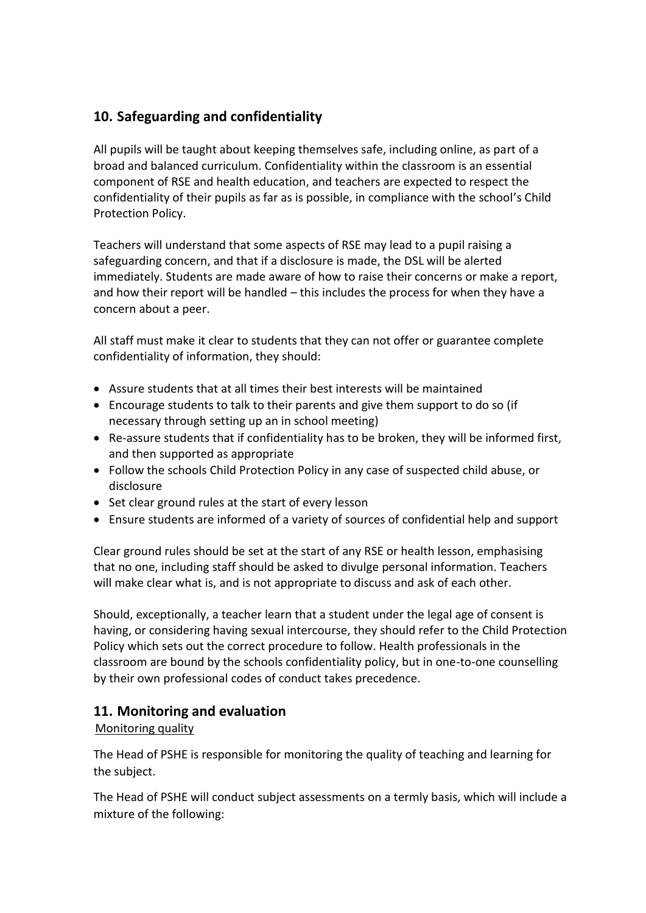## **10. Safeguarding and confidentiality**

All pupils will be taught about keeping themselves safe, including online, as part of a broad and balanced curriculum. Confidentiality within the classroom is an essential component of RSE and health education, and teachers are expected to respect the confidentiality of their pupils as far as is possible, in compliance with the school's Child Protection Policy.

Teachers will understand that some aspects of RSE may lead to a pupil raising a safeguarding concern, and that if a disclosure is made, the DSL will be alerted immediately. Students are made aware of how to raise their concerns or make a report, and how their report will be handled – this includes the process for when they have a concern about a peer.

All staff must make it clear to students that they can not offer or guarantee complete confidentiality of information, they should:

- Assure students that at all times their best interests will be maintained
- Encourage students to talk to their parents and give them support to do so (if necessary through setting up an in school meeting)
- Re-assure students that if confidentiality has to be broken, they will be informed first, and then supported as appropriate
- Follow the schools Child Protection Policy in any case of suspected child abuse, or disclosure
- Set clear ground rules at the start of every lesson
- Ensure students are informed of a variety of sources of confidential help and support

Clear ground rules should be set at the start of any RSE or health lesson, emphasising that no one, including staff should be asked to divulge personal information. Teachers will make clear what is, and is not appropriate to discuss and ask of each other.

Should, exceptionally, a teacher learn that a student under the legal age of consent is having, or considering having sexual intercourse, they should refer to the Child Protection Policy which sets out the correct procedure to follow. Health professionals in the classroom are bound by the schools confidentiality policy, but in one-to-one counselling by their own professional codes of conduct takes precedence.

### **11. Monitoring and evaluation**

#### Monitoring quality

The Head of PSHE is responsible for monitoring the quality of teaching and learning for the subject.

The Head of PSHE will conduct subject assessments on a termly basis, which will include a mixture of the following: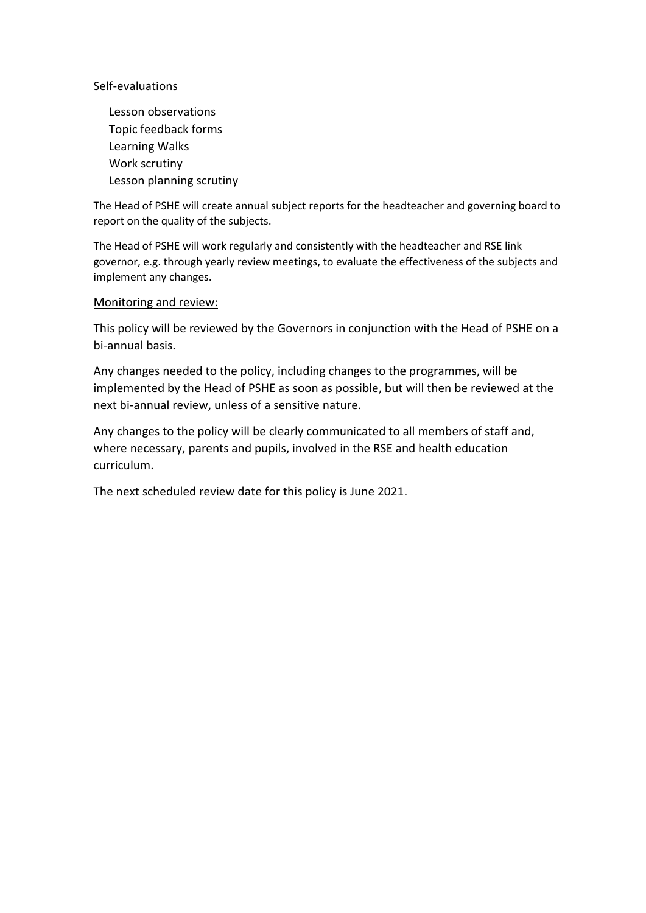Self-evaluations

Lesson observations Topic feedback forms Learning Walks Work scrutiny Lesson planning scrutiny

The Head of PSHE will create annual subject reports for the headteacher and governing board to report on the quality of the subjects.

The Head of PSHE will work regularly and consistently with the headteacher and RSE link governor, e.g. through yearly review meetings, to evaluate the effectiveness of the subjects and implement any changes.

#### Monitoring and review:

This policy will be reviewed by the Governors in conjunction with the Head of PSHE on a bi-annual basis.

Any changes needed to the policy, including changes to the programmes, will be implemented by the Head of PSHE as soon as possible, but will then be reviewed at the next bi-annual review, unless of a sensitive nature.

Any changes to the policy will be clearly communicated to all members of staff and, where necessary, parents and pupils, involved in the RSE and health education curriculum.

The next scheduled review date for this policy is June 2021.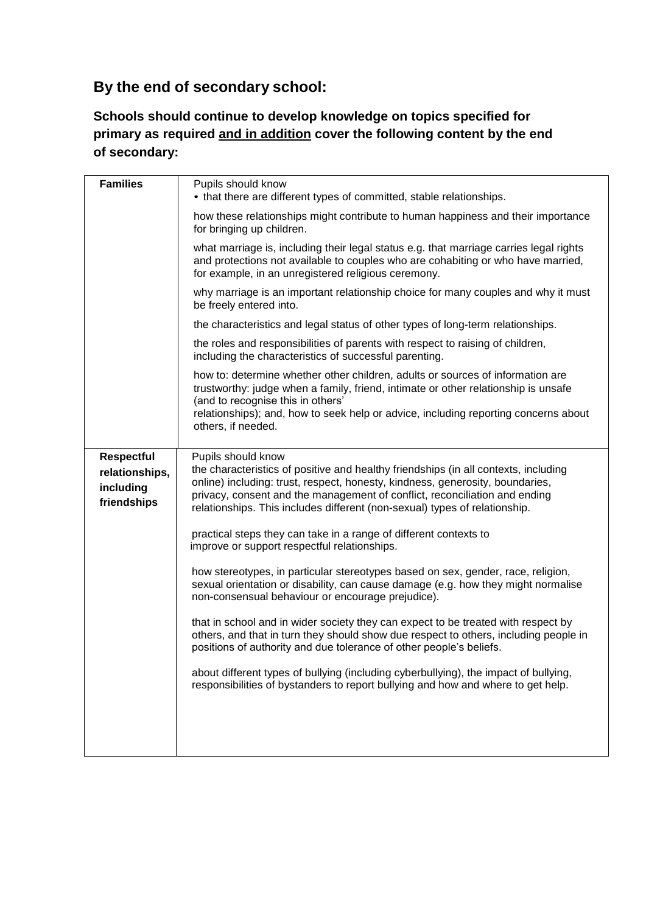## **By the end of secondary school:**

## **Schools should continue to develop knowledge on topics specified for primary as required and in addition cover the following content by the end of secondary:**

| <b>Families</b>                                                 | Pupils should know<br>• that there are different types of committed, stable relationships.                                                                                                                                                                                                                                                             |  |  |
|-----------------------------------------------------------------|--------------------------------------------------------------------------------------------------------------------------------------------------------------------------------------------------------------------------------------------------------------------------------------------------------------------------------------------------------|--|--|
|                                                                 | how these relationships might contribute to human happiness and their importance<br>for bringing up children.<br>what marriage is, including their legal status e.g. that marriage carries legal rights<br>and protections not available to couples who are cohabiting or who have married,<br>for example, in an unregistered religious ceremony.     |  |  |
|                                                                 |                                                                                                                                                                                                                                                                                                                                                        |  |  |
|                                                                 | why marriage is an important relationship choice for many couples and why it must<br>be freely entered into.                                                                                                                                                                                                                                           |  |  |
|                                                                 | the characteristics and legal status of other types of long-term relationships.                                                                                                                                                                                                                                                                        |  |  |
|                                                                 | the roles and responsibilities of parents with respect to raising of children,<br>including the characteristics of successful parenting.                                                                                                                                                                                                               |  |  |
|                                                                 | how to: determine whether other children, adults or sources of information are<br>trustworthy: judge when a family, friend, intimate or other relationship is unsafe<br>(and to recognise this in others'                                                                                                                                              |  |  |
|                                                                 | relationships); and, how to seek help or advice, including reporting concerns about<br>others, if needed.                                                                                                                                                                                                                                              |  |  |
| <b>Respectful</b><br>relationships,<br>including<br>friendships | Pupils should know<br>the characteristics of positive and healthy friendships (in all contexts, including<br>online) including: trust, respect, honesty, kindness, generosity, boundaries,<br>privacy, consent and the management of conflict, reconciliation and ending<br>relationships. This includes different (non-sexual) types of relationship. |  |  |
|                                                                 | practical steps they can take in a range of different contexts to<br>improve or support respectful relationships.                                                                                                                                                                                                                                      |  |  |
|                                                                 | how stereotypes, in particular stereotypes based on sex, gender, race, religion,<br>sexual orientation or disability, can cause damage (e.g. how they might normalise<br>non-consensual behaviour or encourage prejudice).                                                                                                                             |  |  |
|                                                                 | that in school and in wider society they can expect to be treated with respect by<br>others, and that in turn they should show due respect to others, including people in<br>positions of authority and due tolerance of other people's beliefs.                                                                                                       |  |  |
|                                                                 | about different types of bullying (including cyberbullying), the impact of bullying,<br>responsibilities of bystanders to report bullying and how and where to get help.                                                                                                                                                                               |  |  |
|                                                                 |                                                                                                                                                                                                                                                                                                                                                        |  |  |
|                                                                 |                                                                                                                                                                                                                                                                                                                                                        |  |  |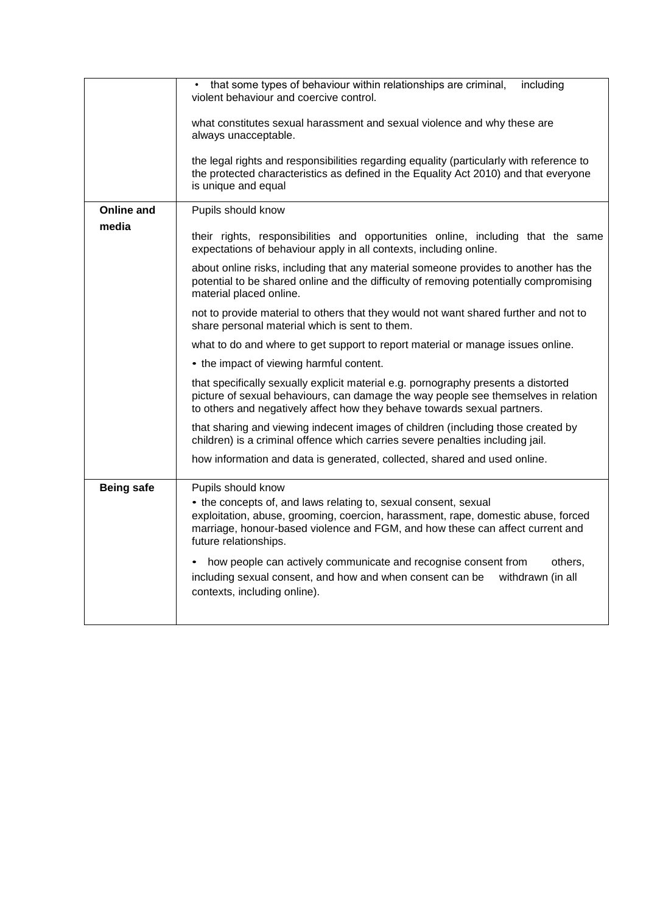|                   | that some types of behaviour within relationships are criminal,<br>including<br>violent behaviour and coercive control.                                                                                                                                                                                                                           |  |  |
|-------------------|---------------------------------------------------------------------------------------------------------------------------------------------------------------------------------------------------------------------------------------------------------------------------------------------------------------------------------------------------|--|--|
|                   | what constitutes sexual harassment and sexual violence and why these are<br>always unacceptable.<br>the legal rights and responsibilities regarding equality (particularly with reference to<br>the protected characteristics as defined in the Equality Act 2010) and that everyone<br>is unique and equal                                       |  |  |
|                   |                                                                                                                                                                                                                                                                                                                                                   |  |  |
| <b>Online and</b> | Pupils should know                                                                                                                                                                                                                                                                                                                                |  |  |
| media             | their rights, responsibilities and opportunities online, including that the same<br>expectations of behaviour apply in all contexts, including online.                                                                                                                                                                                            |  |  |
|                   | about online risks, including that any material someone provides to another has the<br>potential to be shared online and the difficulty of removing potentially compromising<br>material placed online.<br>not to provide material to others that they would not want shared further and not to<br>share personal material which is sent to them. |  |  |
|                   |                                                                                                                                                                                                                                                                                                                                                   |  |  |
|                   | what to do and where to get support to report material or manage issues online.                                                                                                                                                                                                                                                                   |  |  |
|                   | • the impact of viewing harmful content.                                                                                                                                                                                                                                                                                                          |  |  |
|                   | that specifically sexually explicit material e.g. pornography presents a distorted<br>picture of sexual behaviours, can damage the way people see themselves in relation<br>to others and negatively affect how they behave towards sexual partners.                                                                                              |  |  |
|                   | that sharing and viewing indecent images of children (including those created by<br>children) is a criminal offence which carries severe penalties including jail.                                                                                                                                                                                |  |  |
|                   | how information and data is generated, collected, shared and used online.                                                                                                                                                                                                                                                                         |  |  |
| <b>Being safe</b> | Pupils should know<br>• the concepts of, and laws relating to, sexual consent, sexual<br>exploitation, abuse, grooming, coercion, harassment, rape, domestic abuse, forced<br>marriage, honour-based violence and FGM, and how these can affect current and<br>future relationships.                                                              |  |  |
|                   | how people can actively communicate and recognise consent from<br>others.<br>including sexual consent, and how and when consent can be<br>withdrawn (in all<br>contexts, including online).                                                                                                                                                       |  |  |
|                   |                                                                                                                                                                                                                                                                                                                                                   |  |  |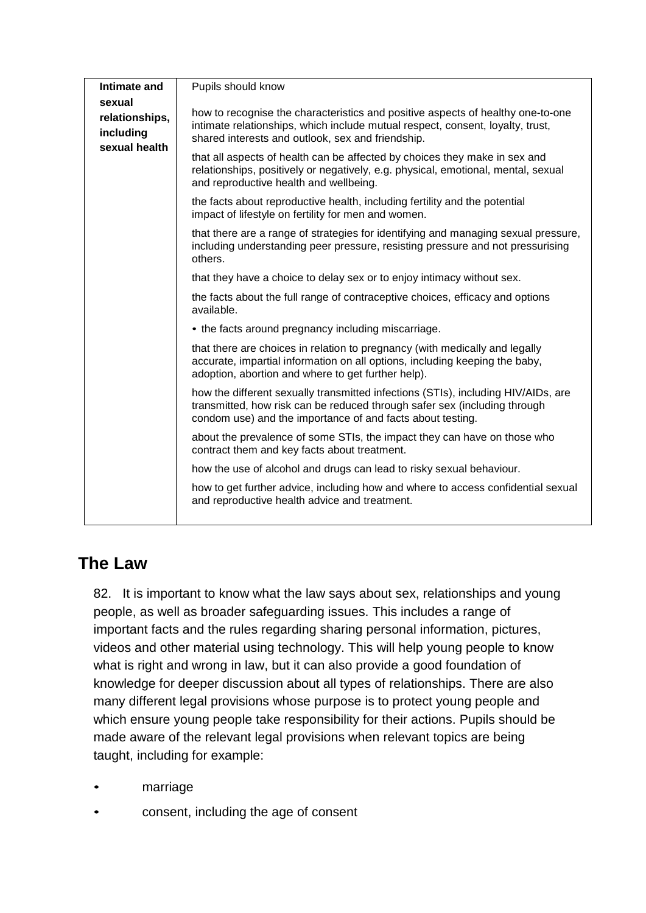| Intimate and                                           | Pupils should know                                                                                                                                                                                                           |  |
|--------------------------------------------------------|------------------------------------------------------------------------------------------------------------------------------------------------------------------------------------------------------------------------------|--|
| sexual<br>relationships,<br>including<br>sexual health | how to recognise the characteristics and positive aspects of healthy one-to-one<br>intimate relationships, which include mutual respect, consent, loyalty, trust,<br>shared interests and outlook, sex and friendship.       |  |
|                                                        | that all aspects of health can be affected by choices they make in sex and<br>relationships, positively or negatively, e.g. physical, emotional, mental, sexual<br>and reproductive health and wellbeing.                    |  |
|                                                        | the facts about reproductive health, including fertility and the potential<br>impact of lifestyle on fertility for men and women.                                                                                            |  |
|                                                        | that there are a range of strategies for identifying and managing sexual pressure,<br>including understanding peer pressure, resisting pressure and not pressurising<br>others.                                              |  |
|                                                        | that they have a choice to delay sex or to enjoy intimacy without sex.                                                                                                                                                       |  |
|                                                        | the facts about the full range of contraceptive choices, efficacy and options<br>available.                                                                                                                                  |  |
|                                                        | • the facts around pregnancy including miscarriage.                                                                                                                                                                          |  |
|                                                        | that there are choices in relation to pregnancy (with medically and legally<br>accurate, impartial information on all options, including keeping the baby,<br>adoption, abortion and where to get further help).             |  |
|                                                        | how the different sexually transmitted infections (STIs), including HIV/AIDs, are<br>transmitted, how risk can be reduced through safer sex (including through<br>condom use) and the importance of and facts about testing. |  |
|                                                        | about the prevalence of some STIs, the impact they can have on those who<br>contract them and key facts about treatment.                                                                                                     |  |
|                                                        | how the use of alcohol and drugs can lead to risky sexual behaviour.                                                                                                                                                         |  |
|                                                        | how to get further advice, including how and where to access confidential sexual<br>and reproductive health advice and treatment.                                                                                            |  |
|                                                        |                                                                                                                                                                                                                              |  |

# **The Law**

82. It is important to know what the law says about sex, relationships and young people, as well as broader safeguarding issues. This includes a range of important facts and the rules regarding sharing personal information, pictures, videos and other material using technology. This will help young people to know what is right and wrong in law, but it can also provide a good foundation of knowledge for deeper discussion about all types of relationships. There are also many different legal provisions whose purpose is to protect young people and which ensure young people take responsibility for their actions. Pupils should be made aware of the relevant legal provisions when relevant topics are being taught, including for example:

- marriage
- consent, including the age of consent